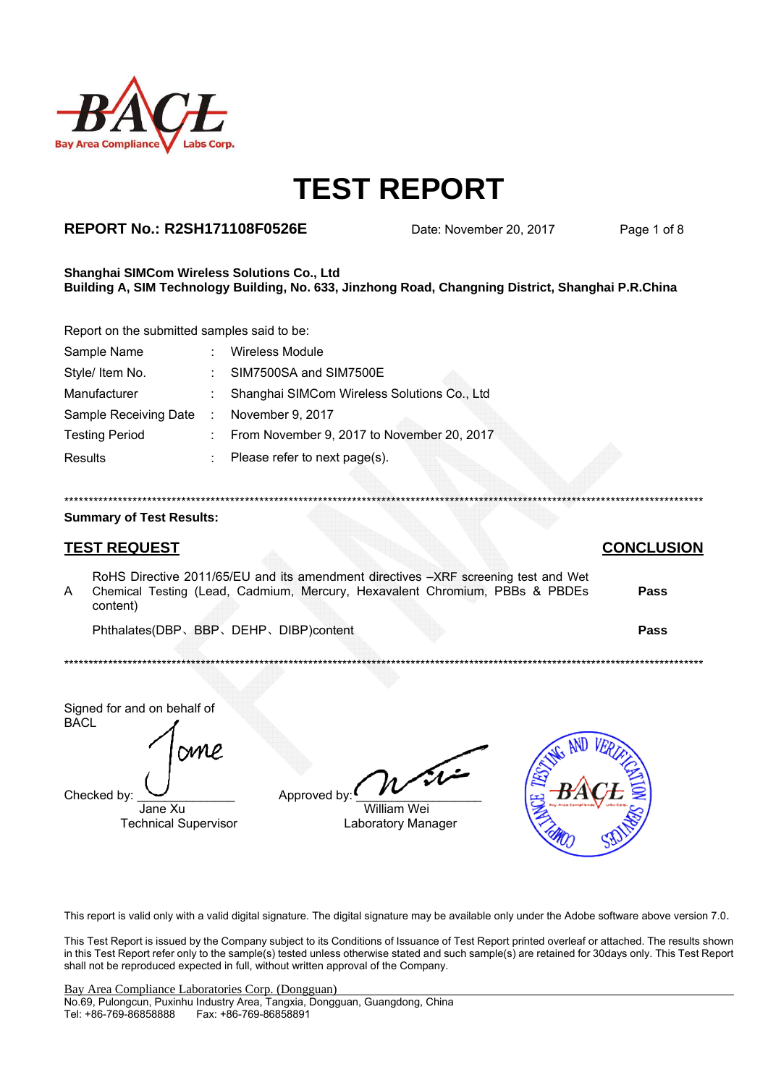

## **REPORT No.: R2SH171108F0526E**

Date: November 20, 2017

Page 1 of 8

#### Shanghai SIMCom Wireless Solutions Co., Ltd Building A, SIM Technology Building, No. 633, Jinzhong Road, Changning District, Shanghai P.R.China

Report on the submitted samples said to be:

| Sample Name           |                           | <b>Wireless Module</b>                      |
|-----------------------|---------------------------|---------------------------------------------|
| Style/ Item No.       |                           | SIM7500SA and SIM7500E                      |
| Manufacturer          |                           | Shanghai SIMCom Wireless Solutions Co., Ltd |
| Sample Receiving Date | ÷.                        | November 9, 2017                            |
| <b>Testing Period</b> | $\mathbb{Z}^{\mathbb{Z}}$ | From November 9, 2017 to November 20, 2017  |
| Results               |                           | Please refer to next page(s).               |

#### **Summary of Test Results:**

## **TEST REQUEST**

RoHS Directive 2011/65/EU and its amendment directives -XRF screening test and Wet Chemical Testing (Lead, Cadmium, Mercury, Hexavalent Chromium, PBBs & PBDEs  $\overline{A}$ Pass content) Phthalates(DBP、BBP、DEHP、DIBP)content Pass

Signed for and on behalf of **BACL** 

**SM** 

Checked by

Jane Xu **Technical Supervisor** 

| Approved by: |  |
|--------------|--|

**William Wei** Laboratory Manager



This report is valid only with a valid digital signature. The digital signature may be available only under the Adobe software above version 7.0.

This Test Report is issued by the Company subject to its Conditions of Issuance of Test Report printed overleaf or attached. The results shown in this Test Report refer only to the sample(s) tested unless otherwise stated and such sample(s) are retained for 30days only. This Test Report shall not be reproduced expected in full, without written approval of the Company.

#### **CONCLUSION**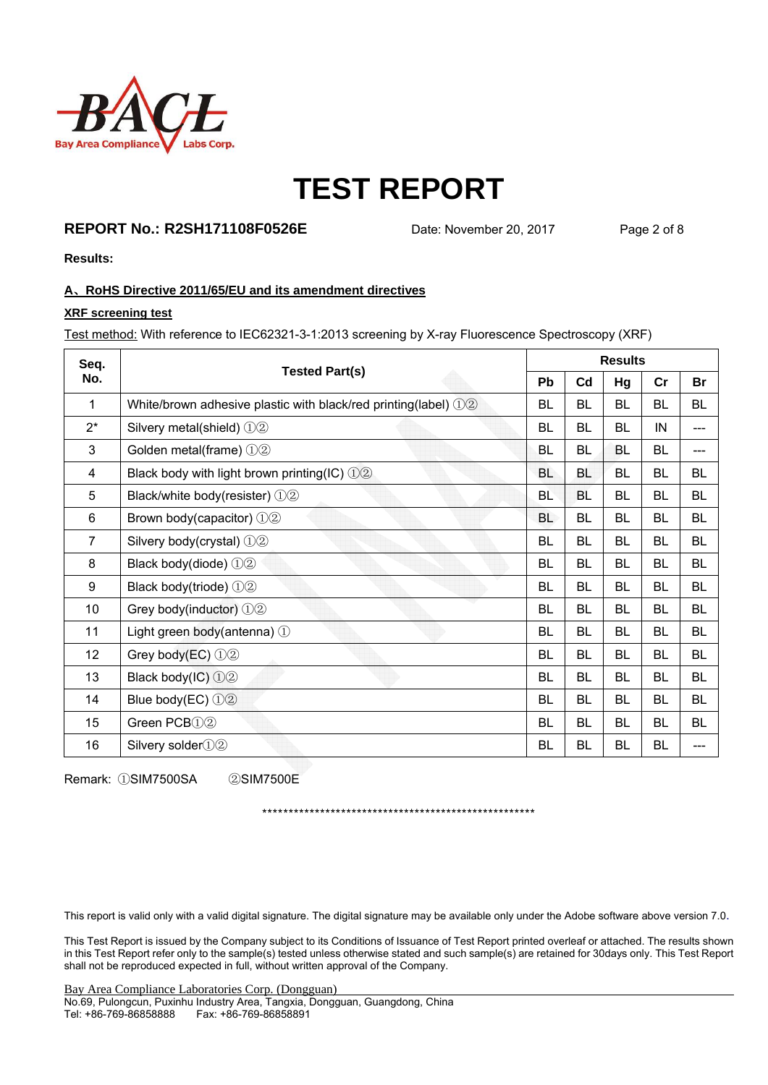

## **REPORT No.: R2SH171108F0526E** Date: November 20, 2017 Page 2 of 8

**Results:** 

#### **A**、**RoHS Directive 2011/65/EU and its amendment directives**

#### **XRF screening test**

Test method: With reference to IEC62321-3-1:2013 screening by X-ray Fluorescence Spectroscopy (XRF)

| Seq.           | <b>Tested Part(s)</b>                                          | <b>Results</b> |                |           |           |           |  |
|----------------|----------------------------------------------------------------|----------------|----------------|-----------|-----------|-----------|--|
| No.            |                                                                | <b>Pb</b>      | C <sub>d</sub> | Hg        | cr        | <b>Br</b> |  |
| 1              | White/brown adhesive plastic with black/red printing(label) 12 | BL             | <b>BL</b>      | <b>BL</b> | <b>BL</b> | <b>BL</b> |  |
| $2^*$          | Silvery metal(shield) 12                                       | BL             | BL             | BL        | IN        | ---       |  |
| 3              | Golden metal(frame) 12                                         | <b>BL</b>      | <b>BL</b>      | BL        | <b>BL</b> | ---       |  |
| 4              | Black body with light brown printing(IC) $\textcircled{12}$    | <b>BL</b>      | <b>BL</b>      | BL        | <b>BL</b> | <b>BL</b> |  |
| 5              | Black/white body(resister) 12                                  | <b>BL</b>      | <b>BL</b>      | BL        | BL        | BL        |  |
| 6              | Brown body(capacitor) $\mathbb{O}2$                            | <b>BL</b>      | <b>BL</b>      | <b>BL</b> | <b>BL</b> | <b>BL</b> |  |
| $\overline{7}$ | Silvery body(crystal) 12                                       | <b>BL</b>      | <b>BL</b>      | BL        | <b>BL</b> | BL        |  |
| 8              | Black body(diode) 12                                           | BL             | <b>BL</b>      | BL        | BL        | <b>BL</b> |  |
| 9              | Black body(triode) 12                                          | BL             | BL             | <b>BL</b> | <b>BL</b> | <b>BL</b> |  |
| 10             | Grey body(inductor) 12                                         | <b>BL</b>      | BL             | BL        | BL        | BL        |  |
| 11             | Light green body(antenna) 1                                    | <b>BL</b>      | <b>BL</b>      | <b>BL</b> | <b>BL</b> | <b>BL</b> |  |
| 12             | Grey body(EC) 12                                               | <b>BL</b>      | <b>BL</b>      | <b>BL</b> | <b>BL</b> | <b>BL</b> |  |
| 13             | Black body(IC) $\mathbb{O}(2)$                                 | <b>BL</b>      | <b>BL</b>      | <b>BL</b> | <b>BL</b> | <b>BL</b> |  |
| 14             | Blue body(EC) $\bigcirc$ 2                                     | BL             | <b>BL</b>      | <b>BL</b> | <b>BL</b> | <b>BL</b> |  |
| 15             | Green PCB <sub>(1)</sub> <sup>2</sup>                          | BL             | <b>BL</b>      | <b>BL</b> | <b>BL</b> | <b>BL</b> |  |
| 16             | Silvery solder $(1)$ $(2)$                                     | <b>BL</b>      | BL             | BL        | <b>BL</b> |           |  |

Remark: ①SIM7500SA ②SIM7500E

\*\*\*\*\*\*\*\*\*\*\*\*\*\*\*\*\*\*\*\*\*\*\*\*\*\*\*\*\*\*\*\*\*\*\*\*\*\*\*\*\*\*\*\*\*\*\*\*\*\*\*\*

This report is valid only with a valid digital signature. The digital signature may be available only under the Adobe software above version 7.0.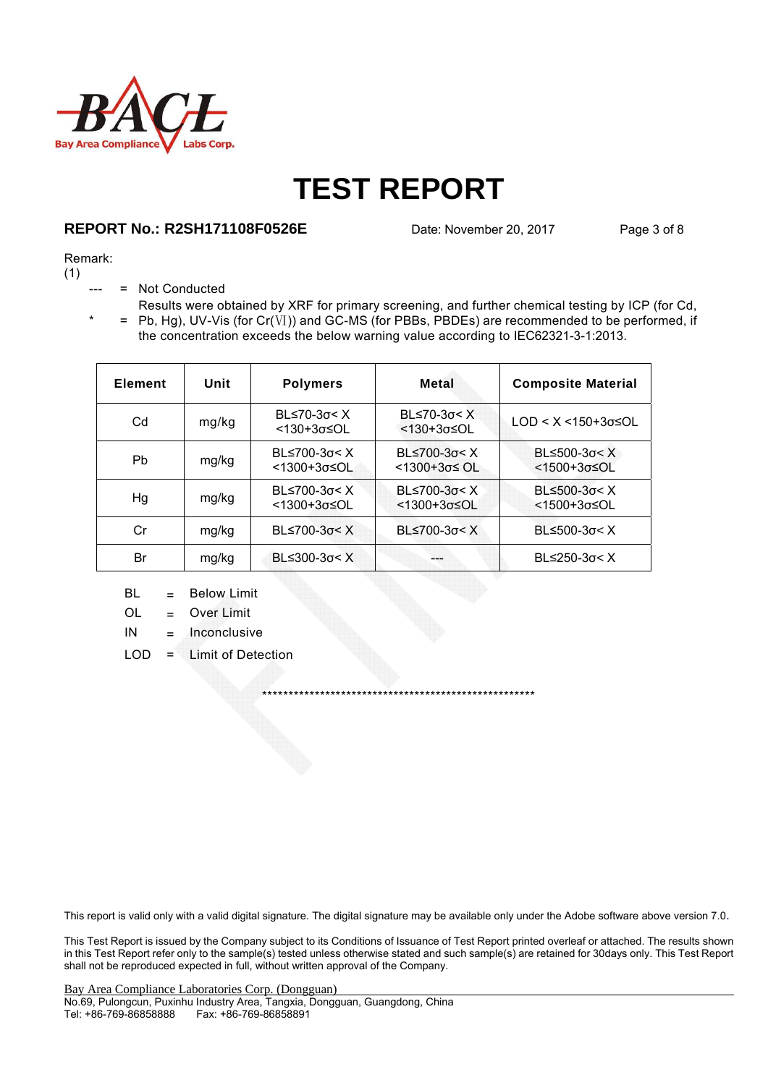

## **REPORT No.: R2SH171108F0526E** Date: November 20, 2017 Page 3 of 8

#### Remark:

(1)

- = Not Conducted
- $* = Pb, Hg$ , UV-Vis (for Cr(Ⅵ)) and GC-MS (for PBBs, PBDEs) are recommended to be performed, if Results were obtained by XRF for primary screening, and further chemical testing by ICP (for Cd, the concentration exceeds the below warning value according to IEC62321-3-1:2013.

| <b>Element</b> | Unit  | <b>Polymers</b>                             | Metal                                         | <b>Composite Material</b>                                     |
|----------------|-------|---------------------------------------------|-----------------------------------------------|---------------------------------------------------------------|
| Cd             | mg/kg | BL $\leq 70-3\sigma < X$<br><130+3σ≤OL      | $BL≤70-3σ < X$<br>$<130+3\sigma \leq O L$     | $LOD < X < 150+3\sigma \leq OL$                               |
| Pb             | mg/kg | BL $\leq$ 700-3 $\sigma$ < X<br><1300+3σ≤OL | BL $\leq$ 700-3 $\sigma$ < X<br>$1300+3σ≤$ OL | BL $\leq$ 500-3 $\sigma$ < X<br>$<$ 1500+3 $\sigma$ $\leq$ OL |
| Hg             | mg/kg | $BL≤700-3σ < X$<br><1300+3σ≤OL              | BL $\leq$ 700-3 $\sigma$ < X<br><1300+3σ≤OL   | $BL≤500-3σ < X$<br>$<$ 1500+3 $\sigma$ $\leq$ OL              |
| Cr             | mg/kg | BL≤700-3σ< X                                | $B$ L≤700-3σ< X                               | $BL≤500-3σ < X$                                               |
| Br             | mg/kg | $B≤300-3σ < X$                              |                                               | BL $\leq$ 250-3 $\sigma$ < X                                  |

- $BL = Below Limit$
- OL = Over Limit
- $IN = Inconclusive$
- LOD = Limit of Detection

This report is valid only with a valid digital signature. The digital signature may be available only under the Adobe software above version 7.0.

\*\*\*\*\*\*\*\*\*\*\*\*\*\*\*\*\*\*\*\*\*\*\*\*\*\*\*\*\*\*\*\*\*\*\*\*\*\*\*\*\*\*\*\*\*\*\*\*\*\*\*\*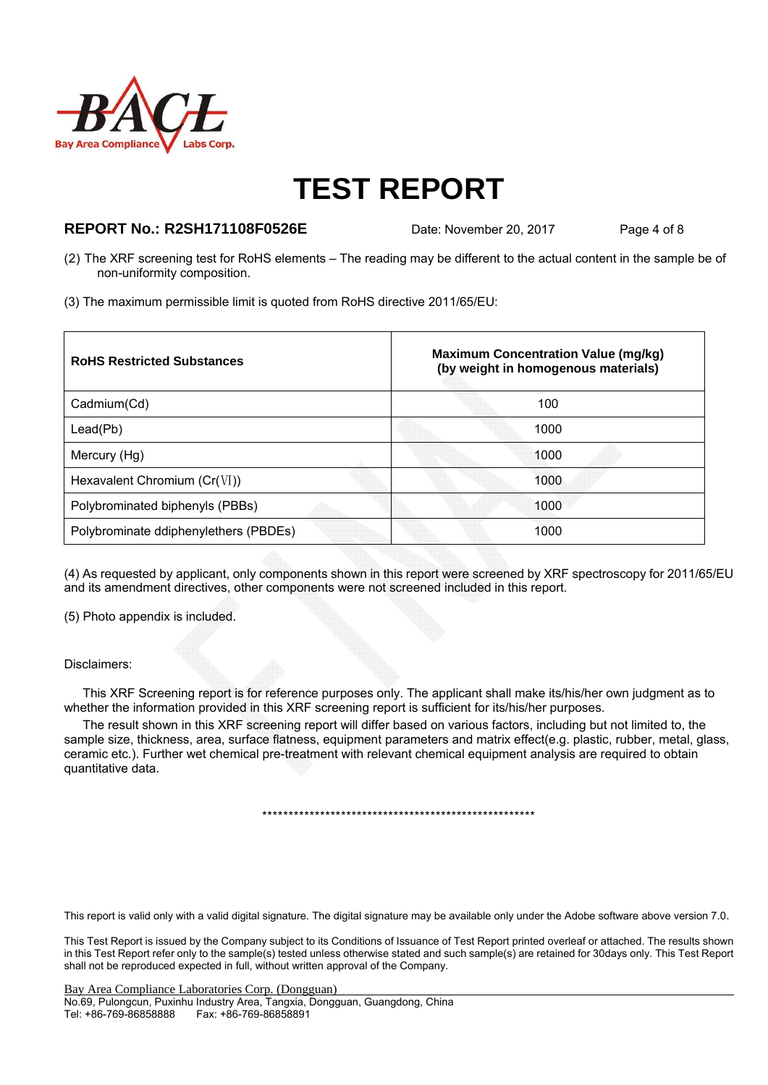

### **REPORT No.: R2SH171108F0526E** Date: November 20, 2017 Page 4 of 8

- (2) The XRF screening test for RoHS elements The reading may be different to the actual content in the sample be of non-uniformity composition.
- (3) The maximum permissible limit is quoted from RoHS directive 2011/65/EU:

| <b>RoHS Restricted Substances</b>     | <b>Maximum Concentration Value (mg/kg)</b><br>(by weight in homogenous materials) |
|---------------------------------------|-----------------------------------------------------------------------------------|
| Cadmium(Cd)                           | 100                                                                               |
| Lead(Pb)                              | 1000                                                                              |
| Mercury (Hg)                          | 1000                                                                              |
| Hexavalent Chromium $(Cr(VI))$        | 1000                                                                              |
| Polybrominated biphenyls (PBBs)       | 1000                                                                              |
| Polybrominate ddiphenylethers (PBDEs) | 1000                                                                              |

(4) As requested by applicant, only components shown in this report were screened by XRF spectroscopy for 2011/65/EU and its amendment directives, other components were not screened included in this report.

(5) Photo appendix is included.

#### Disclaimers:

This XRF Screening report is for reference purposes only. The applicant shall make its/his/her own judgment as to whether the information provided in this XRF screening report is sufficient for its/his/her purposes.

The result shown in this XRF screening report will differ based on various factors, including but not limited to, the sample size, thickness, area, surface flatness, equipment parameters and matrix effect(e.g. plastic, rubber, metal, glass, ceramic etc.). Further wet chemical pre-treatment with relevant chemical equipment analysis are required to obtain quantitative data.

\*\*\*\*\*\*\*\*\*\*\*\*\*\*\*\*\*\*\*\*\*\*\*\*\*\*\*\*\*\*\*\*\*\*\*\*\*\*\*\*\*\*\*\*\*\*\*\*\*\*\*\*

This report is valid only with a valid digital signature. The digital signature may be available only under the Adobe software above version 7.0.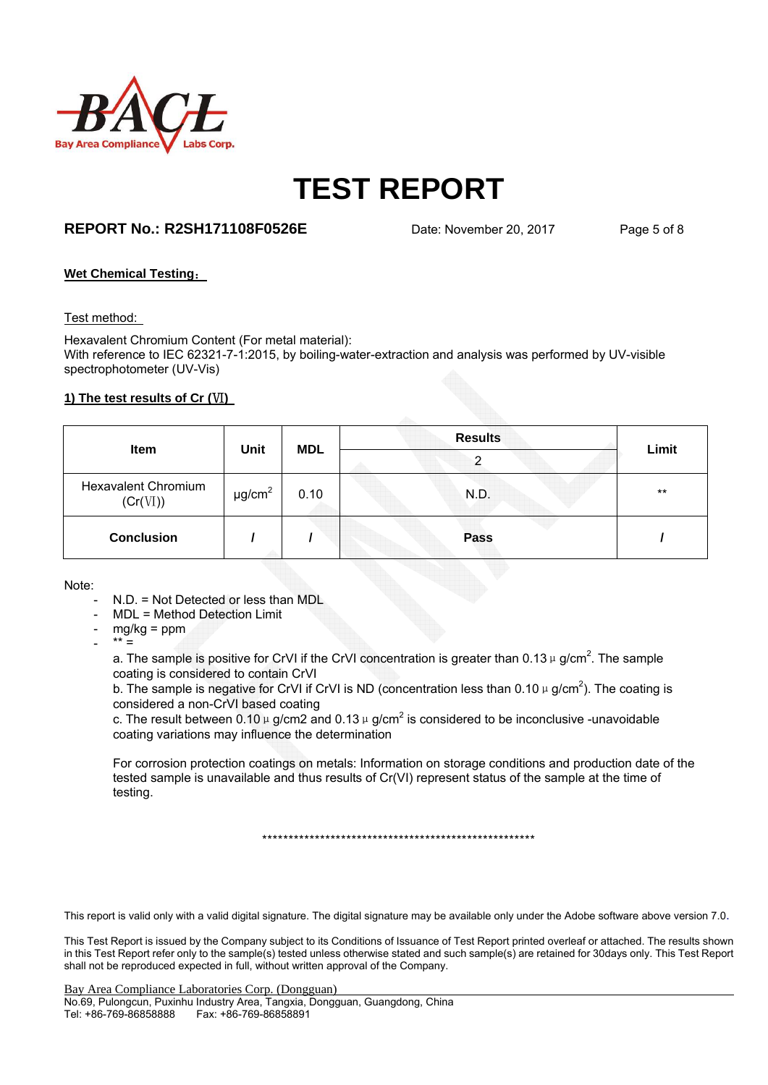

## **REPORT No.: R2SH171108F0526E** Date: November 20, 2017 Page 5 of 8

#### **Wet Chemical Testing**:

#### Test method:

Hexavalent Chromium Content (For metal material): With reference to IEC 62321-7-1:2015, by boiling-water-extraction and analysis was performed by UV-visible spectrophotometer (UV-Vis)

#### **1) The test results of Cr (VI)**

| <b>Item</b>                            |                         |            | <b>Results</b> |       |
|----------------------------------------|-------------------------|------------|----------------|-------|
|                                        | Unit                    | <b>MDL</b> | ົ              | Limit |
| <b>Hexavalent Chromium</b><br>(Cr(VI)) | $\mu$ g/cm <sup>2</sup> | 0.10       | N.D.           | $***$ |
| <b>Conclusion</b>                      |                         |            | <b>Pass</b>    |       |

Note:

- N.D. = Not Detected or less than MDL
- MDL = Method Detection Limit
- $mg/kg = ppm$
- $*** =$

a. The sample is positive for CrVI if the CrVI concentration is greater than 0.13  $\mu$  g/cm<sup>2</sup>. The sample coating is considered to contain CrVI

b. The sample is negative for CrVI if CrVI is ND (concentration less than 0.10  $\mu$  g/cm<sup>2</sup>). The coating is considered a non-CrVI based coating

c. The result between 0.10  $\mu$  g/cm2 and 0.13  $\mu$  g/cm<sup>2</sup> is considered to be inconclusive -unavoidable coating variations may influence the determination

For corrosion protection coatings on metals: Information on storage conditions and production date of the tested sample is unavailable and thus results of Cr(VI) represent status of the sample at the time of testing.

\*\*\*\*\*\*\*\*\*\*\*\*\*\*\*\*\*\*\*\*\*\*\*\*\*\*\*\*\*\*\*\*\*\*\*\*\*\*\*\*\*\*\*\*\*\*\*\*\*\*\*\*

This report is valid only with a valid digital signature. The digital signature may be available only under the Adobe software above version 7.0.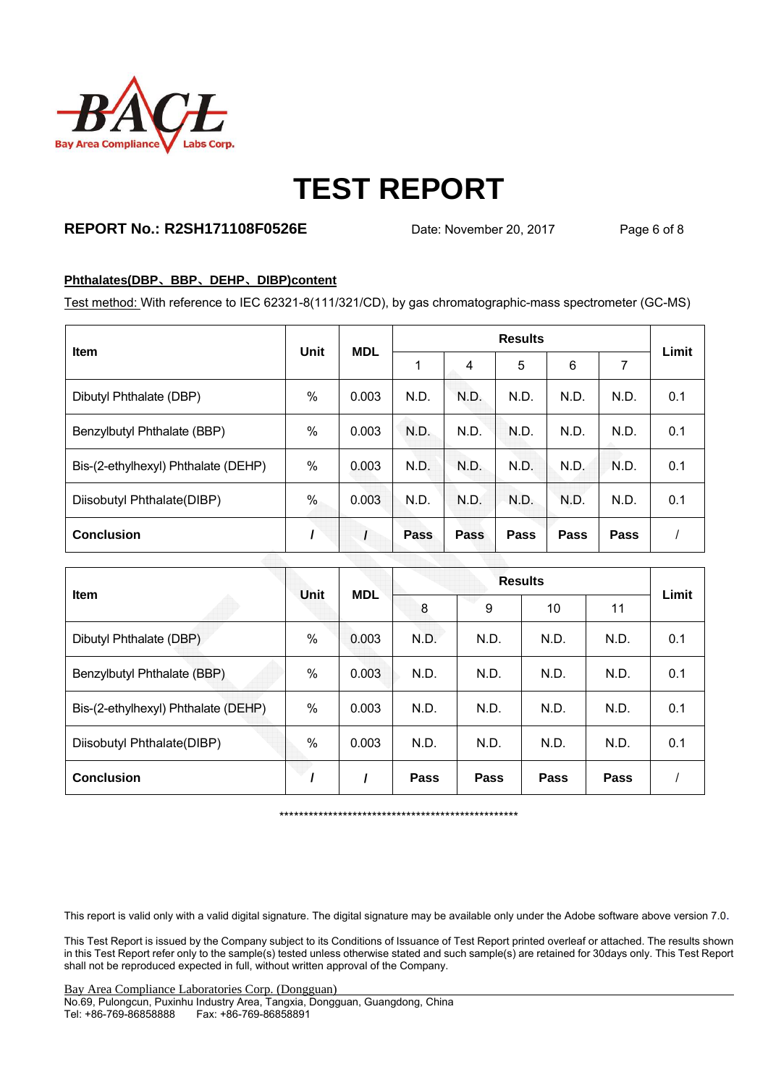

## **REPORT No.: R2SH171108F0526E** Date: November 20, 2017 Page 6 of 8

#### **Phthalates(DBP**、**BBP**、**DEHP**、**DIBP)content**

Test method: With reference to IEC 62321-8(111/321/CD), by gas chromatographic-mass spectrometer (GC-MS)

| <b>Item</b>                         | <b>Unit</b> | <b>MDL</b> | <b>Results</b> |      |      |      |      | Limit |
|-------------------------------------|-------------|------------|----------------|------|------|------|------|-------|
|                                     |             |            |                | 4    | 5    | 6    | 7    |       |
| Dibutyl Phthalate (DBP)             | $\%$        | 0.003      | N.D.           | N.D. | N.D. | N.D. | N.D. | 0.1   |
| Benzylbutyl Phthalate (BBP)         | %           | 0.003      | N.D.           | N.D. | N.D. | N.D. | N.D. | 0.1   |
| Bis-(2-ethylhexyl) Phthalate (DEHP) | $\%$        | 0.003      | N.D.           | N.D. | N.D. | N.D. | N.D. | 0.1   |
| Diisobutyl Phthalate(DIBP)          | %           | 0.003      | N.D.           | N.D. | N.D. | N.D. | N.D. | 0.1   |
| <b>Conclusion</b>                   |             |            | Pass           | Pass | Pass | Pass | Pass |       |

| Item                                | Unit          | <b>MDL</b> |      | Limit |             |             |     |
|-------------------------------------|---------------|------------|------|-------|-------------|-------------|-----|
|                                     |               |            | 8    | 9     | 10          | 11          |     |
| Dibutyl Phthalate (DBP)             | $\%$          | 0.003      | N.D. | N.D.  | N.D.        | N.D.        | 0.1 |
| Benzylbutyl Phthalate (BBP)         | $\%$          | 0.003      | N.D. | N.D.  | N.D.        | N.D.        | 0.1 |
| Bis-(2-ethylhexyl) Phthalate (DEHP) | %             | 0.003      | N.D. | N.D.  | N.D.        | N.D.        | 0.1 |
| Diisobutyl Phthalate(DIBP)          | $\frac{0}{0}$ | 0.003      | N.D. | N.D.  | N.D.        | N.D.        | 0.1 |
| <b>Conclusion</b>                   |               |            | Pass | Pass  | <b>Pass</b> | <b>Pass</b> |     |

\*\*\*\*\*\*\*\*\*\*\*\*\*\*\*\*\*\*\*\*\*\*\*\*\*\*\*\*\*\*\*\*\*\*\*\*\*\*\*\*\*\*\*\*\*\*\*\*\*

This report is valid only with a valid digital signature. The digital signature may be available only under the Adobe software above version 7.0.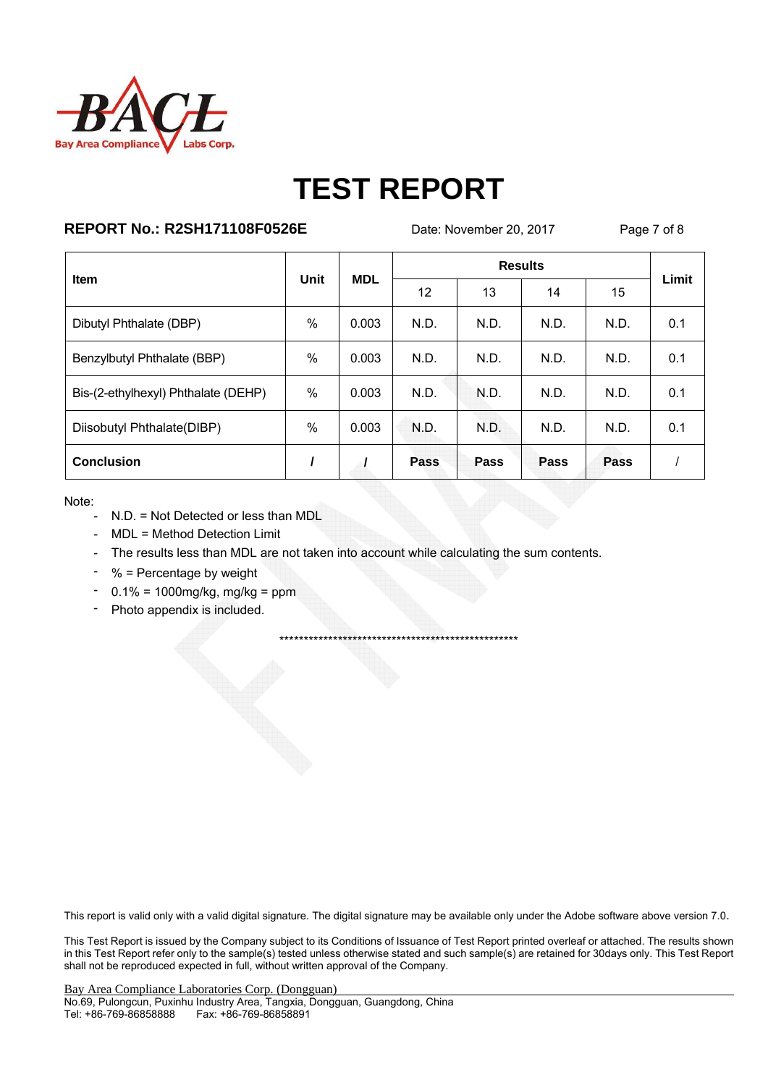

## **REPORT No.: R2SH171108F0526E**

Date: November 20, 2017

Page 7 of 8

| <b>Item</b>                         | Unit          | <b>MDL</b> |      | Limit |      |      |     |
|-------------------------------------|---------------|------------|------|-------|------|------|-----|
|                                     |               |            | 12   | 13    | 14   | 15   |     |
| Dibutyl Phthalate (DBP)             | $\%$          | 0.003      | N.D. | N.D.  | N.D. | N.D. | 0.1 |
| Benzylbutyl Phthalate (BBP)         | $\%$          | 0.003      | N.D. | N.D.  | N.D. | N.D. | 0.1 |
| Bis-(2-ethylhexyl) Phthalate (DEHP) | $\%$          | 0.003      | N.D. | N.D.  | N.D. | N.D. | 0.1 |
| Diisobutyl Phthalate(DIBP)          | $\frac{0}{0}$ | 0.003      | N.D. | N.D.  | N.D. | N.D. | 0.1 |
| <b>Conclusion</b>                   |               |            | Pass | Pass  | Pass | Pass |     |

Note:

- N.D. = Not Detected or less than MDL
- MDL = Method Detection Limit
- The results less than MDL are not taken into account while calculating the sum contents.
- % = Percentage by weight
- $-0.1\% = 1000$  mg/kg, mg/kg = ppm
- Photo appendix is included.  $\sim$

This report is valid only with a valid digital signature. The digital signature may be available only under the Adobe software above version 7.0.